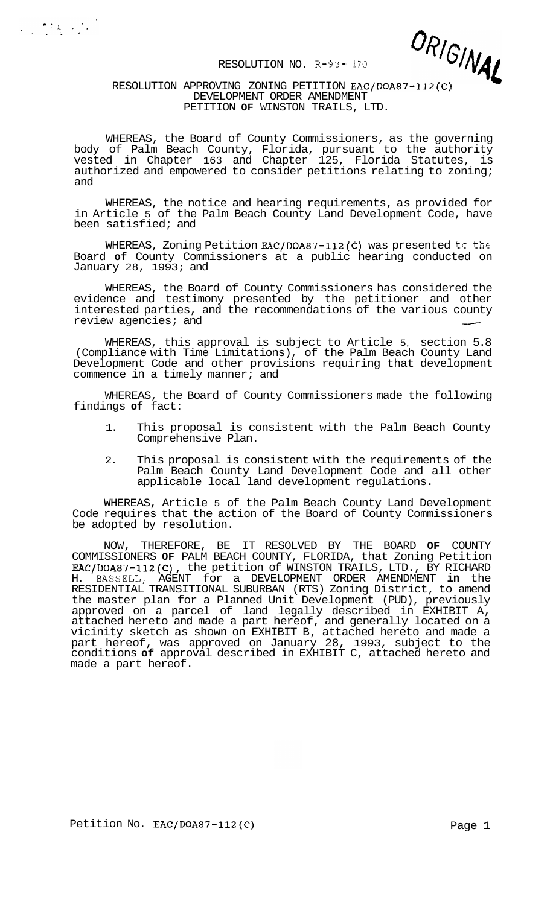

### RESOLUTION APPROVING ZONING PETITION EAC/DOA87-112(C) DEVELOPMENT ORDER AMENDMENT PETITION **OF** WINSTON TRAILS, LTD.

 $\label{eq:2} \frac{1}{2}\sum_{i=1}^n\sum_{j=1}^n\sum_{j=1}^n\sum_{j=1}^n\sum_{j=1}^n\sum_{j=1}^n\sum_{j=1}^n\sum_{j=1}^n\sum_{j=1}^n\sum_{j=1}^n\sum_{j=1}^n\sum_{j=1}^n\sum_{j=1}^n\sum_{j=1}^n\sum_{j=1}^n\sum_{j=1}^n\sum_{j=1}^n\sum_{j=1}^n\sum_{j=1}^n\sum_{j=1}^n\sum_{j=1}^n\sum_{j=1}^n\sum_{j=1}^n$ 

WHEREAS, the Board of County Commissioners, as the governing body of Palm Beach County, Florida, pursuant to the authority vested in Chapter 163 and Chapter 125, Florida Statutes, is authorized and empowered to consider petitions relating to zoning; and

WHEREAS, the notice and hearing requirements, as provided for in Article 5 of the Palm Beach County Land Development Code, have been satisfied; and

WHEREAS, Zoning Petition EAC/DOA87-112(C) was presented to the Board **of** County Commissioners at a public hearing conducted on January 28, 1993; and

WHEREAS, the Board of County Commissioners has considered the evidence and testimony presented by the petitioner and other interested parties, and the recommendations of the various county WHEREAS, the Board of County Commissioners has considered the evidence and testimony presented by the petitioner and other interested parties, and the recommendations of the various county review agencies; and

WHEREAS, this approval is subject to Article 5, section 5.8 (Compliance with Time Limitations), of the Palm Beach County Land Development Code and other provisions requiring that development commence in a timely manner; and

WHEREAS, the Board of County Commissioners made the following findings **of** fact:

- 1. This proposal is consistent with the Palm Beach County Comprehensive Plan.
- 2. This proposal is consistent with the requirements of the Palm Beach County Land Development Code and all other applicable local land development regulations.

WHEREAS, Article 5 of the Palm Beach County Land Development Code requires that the action of the Board of County Commissioners be adopted by resolution.

NOW, THEREFORE, BE IT RESOLVED BY THE BOARD **OF** COUNTY COMMISSIONERS **OF** PALM BEACH COUNTY, FLORIDA, that Zoning Petition EAC/DOA87-112(C), the petition of WINSTON TRAILS, LTD., BY RICHARD H. BASSELL, AGENT for a DEVELOPMENT ORDER AMENDMENT **in** the RESIDENTIAL TRANSITIONAL SUBURBAN (RTS) Zoning District, to amend the master plan for a Planned Unit Development (PUD), previously approved on a parcel of land legally described in EXHIBIT A, attached hereto and made a part hereof, and generally located on a vicinity sketch as shown on EXHIBIT B, attached hereto and made a part hereof, was approved on January 28, 1993, subject to the conditions **of** approval described in EXHIBIT C, attached hereto and made a part hereof.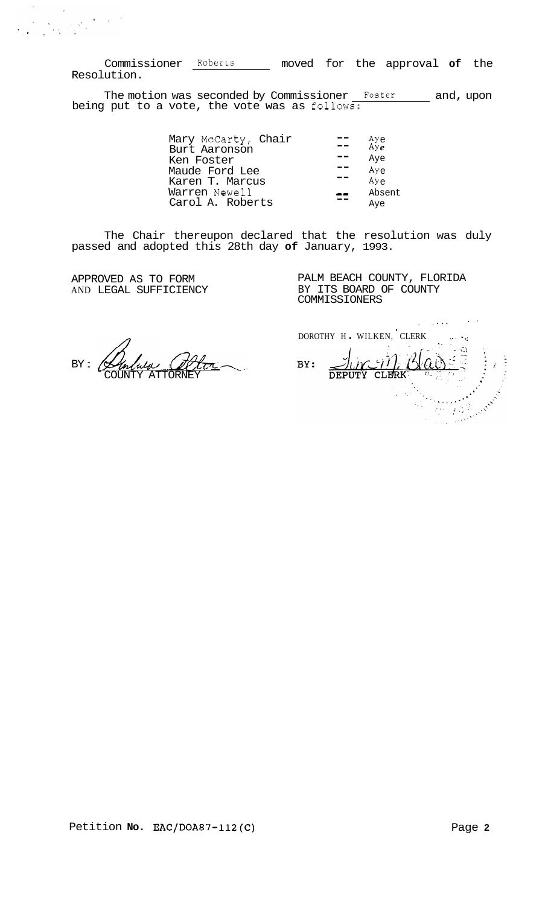Commissioner Roberts moved for the approval **of** the Resolution.

The motion was seconded by Commissioner Foster and, upon being put to a vote, the vote was as follows:

| Mary McCarty, Chair | $Aye$<br>$Aye$ |
|---------------------|----------------|
| Burt Aaronson       |                |
| Ken Foster          | Aye            |
| Maude Ford Lee      | Aye            |
| Karen T. Marcus     | Aye            |
| Warren Newell       | Absent         |
| Carol A. Roberts    | Aye            |

The Chair thereupon declared that the resolution was duly passed and adopted this 28th day **of** January, 1993.

APPROVED AS TO FORM AND LEGAL SUFFICIENCY

PALM BEACH COUNTY, FLORIDA BY ITS BOARD OF COUNTY COMMISSIONERS

 $BY: 4$ lululu COUNTY ATTORNEY

.. .. ... DOROTHY H. WILKEN, CLERK  $\texttt{BV}: \quad \text{DivC-IV}$ .  $\text{BVC} \quad \text{S}$  $\mathcal{L}(\gamma)$ BY: Anderson  $\sigma$  : : : 0.3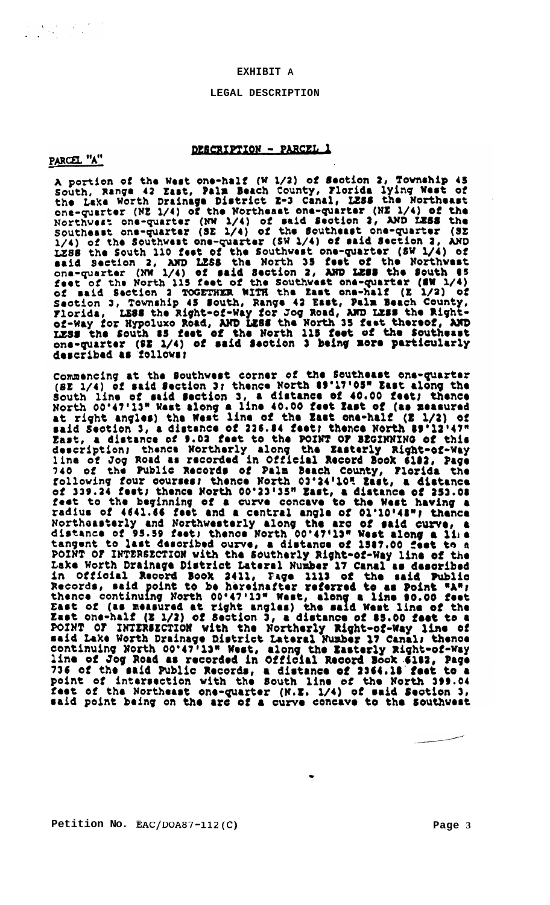### **EXHIBIT A**

### **LEGAL DESCRIPTION**

# DESCRIPTION - PARCEL 1

PARCEL "A"

 $\label{eq:2} \begin{split} \frac{d}{dt} &\leq \frac{1}{2}\sum_{\mathbf{k},\mathbf{k}}\left(\frac{d}{dt}\right)^2\left(\frac{d}{dt}\right)^2\left(\frac{d}{dt}\right)^2\left(\frac{d}{dt}\right)^2\\ &\leq \frac{1}{2}\sum_{\mathbf{k},\mathbf{k}}\left(\frac{d}{dt}\right)^2\left(\frac{d}{dt}\right)^2\left(\frac{d}{dt}\right)^2\left(\frac{d}{dt}\right)^2\left(\frac{d}{dt}\right)^2\left(\frac{d}{dt}\right)^2. \end{split}$ 

A portion of the West one-half (W 1/2) of Section 2, Township 45<br>South, Range 42 East, Palm Beach County, Florida lying West of<br>the Lake Worth Drainage District E-3 Canal, LESS the Northeast<br>one-quarter (NE 1/4) of the Nor Northwest one-quarter (NE 1/4) of the Southest one-quarter (SE 1/4) of the Southest one-quarter (SE 1/4) of the Southest one-quarter (SE 1/4) of said Section 2, AND LESS the Southwest one-quarter (SW 1/4) of said Section

Commencing at the Southwest corner of the Southeast one-quarter<br>(SE 1/4) of said Section 3; thence North 19'17'05" East along the<br>South line of said Section 3, a distance of 40.00 feet; thence<br>North 00'47'13" West along a said Section 3, a distance of 226.84 feet; thence North 89'12'47"<br>Zast, a distance of 9.02 feet to the POINT OF BEGINNING of this sast, a distance of 218.14 feet thence of 2018.<br>East, a distance of 9.03 feet to the POINT OF BECINNING of this<br>description; thence Northerly along the Easterly Right-of-Way<br>dina of Jog Road as recorded in Official Record feet of the Northeast one-quarter (N.E. 1/4) of said Section 3, said point being on the arc of a curve concave to the Southwest

**Petition No. EAC/DOA87-112(C) Page 3**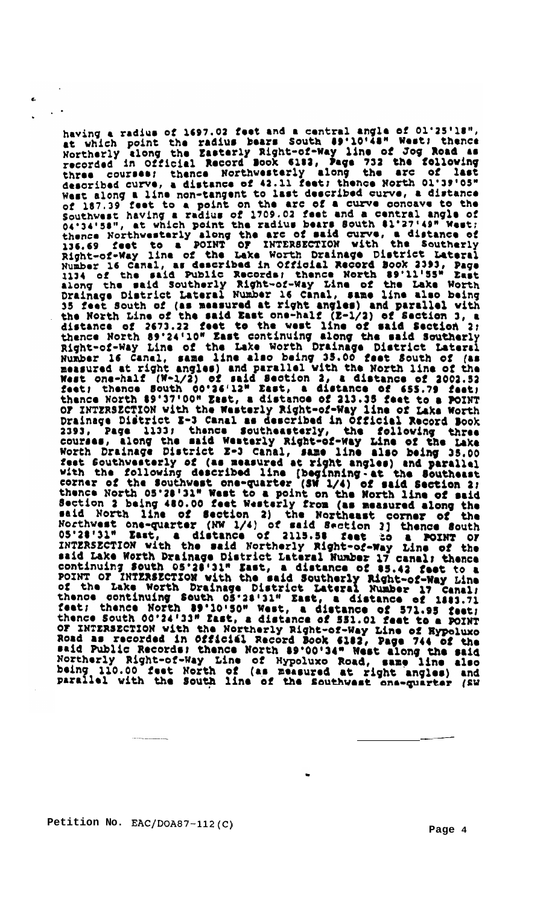having a radius of 1697.02 feet and a central angle of 01'25'18",<br>at which point the radius bears South 89'10'48" West; thence<br>Northerly along the Zasterly Right-of-Way line of Jog Road as<br>recorded in Official Record Book thead curve, a distance of 42.11 feet; thence North 01'39'05"<br>Nearthed curve, a distance of 42.11 feet; thence North 01'39'05"<br>Near along a line non-tangent to last described curve, a distance<br>of 187.39 feet to a point on described curve, a distance of 42.11 feet; thence North 01'39'05" thence North 89'24'10" East continuing along the said Southerly High the said Southern Rushar is Canal, same line also being 35.00 feet South of the North Internal Rushar is Canal, same line also being 35.00 feet South of or INTERSECTION with the Northerly Right-of-Way Line of Hypoluxo<br>Road as recorded in Official Record Book 6182, Page 744 of the<br>said Public Records: thence North 89'00'34" West along the said<br>Northerly Bight-of-Way Time of Northerly Right-of-Way Line of Hypoluxo Road, same line also<br>being 110.00 feet North of (as measured at right angles) and<br>parallel with the South line of the Southwest one-guarter (2W

**Petition No. EAC/DOA87-112(C)** 

**Page 4**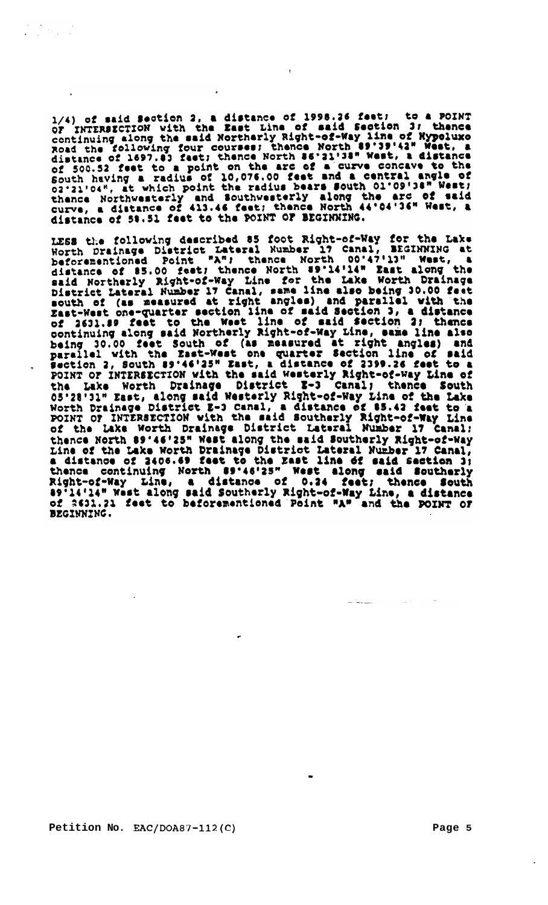1/4) of said Section 2, a distance of 1998.26 feet; to a POINT<br>of INTERSECTION with the East Line of said Section 3; thence<br>continuing along the said Northerly Right-of-Way line of Nypoluxo<br>Road the following four courses; distance of 1697.83 feet; thence North 86'31'38" west, a distance<br>of 500.52 feet to a point on the arc of a curve concave to the<br>South having a radius of 10,076.00 feet and a central angle of<br>02'21'04", at which point the distance of 58.51 feet to the POINT OF BEGINNING.

 $\pmb{\eta}$ 

LESS the following described 85 foot Right-of-Way for the Lake<br>Worth Drainage District Lateral Number 17 Canal, BEGINNING at<br>beforementioned Point "A"; thence North 00'47'13" West, a beforementioned Point "A"; thence North 00'47'13" West, a<br>distance of \$5.00 feet; thence North 89'14'14" East along the<br>said Northerly Right-of-Way Line for the Lake Worth Drainage<br>point of (as measured at right angles) an 05'28'31" East, along said Westerly Right-of-Way Line of the Lake<br>Worth Drainage District E-3 Canal, a distance of 85.42 feet to a<br>POINT OF INTERSECTION with the said Southerly Right-of-Way Line<br>of the Lake Worth Drainage or the Lake worth Drainage District Lateral Number 17 Canal;<br>thence North 89'46'25" West along the said Southerly Right-of-Way<br>Line of the Lake Worth Drainage District Lateral Number 17 Canal,<br>a distance of 2406.69 feet to of 2631.21 feet to beforementioned Point "A" and the POINT OF BEGINNING.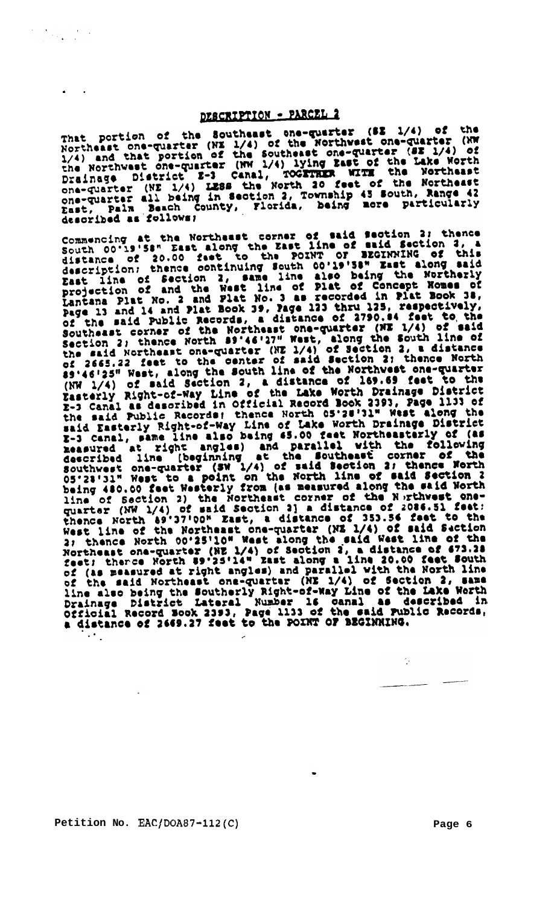# DESCRIPTION - PARCEL 2

..

 $\label{eq:2} \frac{1}{2} \left( \frac{1}{2} \sum_{i=1}^n \frac{1}{2} \sum_{j=1}^n \frac{1}{2} \sum_{j=1}^n \frac{1}{2} \sum_{j=1}^n \frac{1}{2} \sum_{j=1}^n \frac{1}{2} \sum_{j=1}^n \frac{1}{2} \sum_{j=1}^n \frac{1}{2} \sum_{j=1}^n \frac{1}{2} \sum_{j=1}^n \frac{1}{2} \sum_{j=1}^n \frac{1}{2} \sum_{j=1}^n \frac{1}{2} \sum_{j=1}^n \frac{1}{2} \sum_{j$ 

DESCRIPTION - PARCEL 2<br>
Northeast one-quarter (82 1/4) of the<br>
Northeast one-quarter (NE 1/4) of the Northwest one-quarter (NW<br>
1/4) and that portion of the Southeast one-quarter (SE 1/4) of<br>
the Northwest one-quarter (NW

described as rollows)<br>Commencing at the Northeast corner of said Section 2; thence<br>South 00'19'58" East along the East line of said Section 3, a<br>distance of 20.00 feet to the POINT OF BEGINNING of this<br>description; thence sy.46.25" West, along the South line of the Northwest one-quarter<br>(NW 1/4) of said Section 2, a distance of 169.69 feet to the<br>Zasterly Right-of-Way Line of the Lake Worth Drainage District<br>E-3 Canal as described in Offici  $\bar{x}$ -3 Canal as described in Official Record Book 23933, Page 1133 of the said Public Records; thence North 05'28'31" West along the raid fasterly Right-of-Way Line of Lake Worth Drainage District to reasure a line also

Petition No. EAC/DOA87-112(C) Page 6

 $\ddots$ 

 $\ddot{\psi}$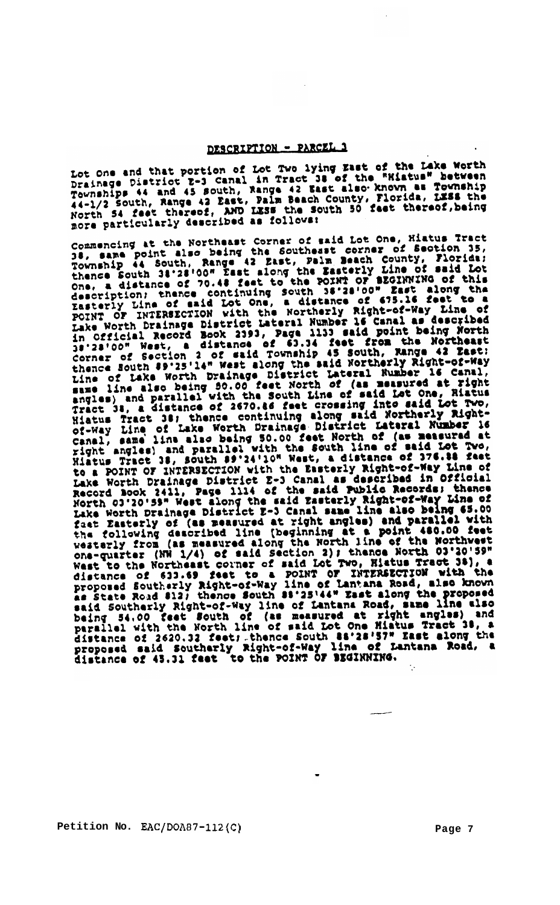# DESCRIPTION - PARCEL 1

Lot One and that portion of Lot Two lying East of the Lake Worth<br>Drainage District 2-3 Canal in Tract 38 of the "Mistus" between<br>Townships 44 and 45 South, Range 42 East also known as Township<br>44-1/2 South, Range 42 East,

nore particularly described as follows:<br>
Commencing at the Northeast Corner of said Lot One, Hiatus Tract<br>
Commencing at the South as being the Southeast corner of Section 35,<br>
19, same point also being the South Delm Beac angles) and parallel with the South Line of said Lot One, Riatus<br>angles) and parallel with the South Line of said Lot One, Riatus<br>Tract 38, a distance of 2670.66 feet crossing into said Lot Two,<br>Hiatus Tract 38; thence con to a POINT OF INTERSECTION with the Essterly Right-of-way line of<br>Lake Worth Drainage District 2-3 Canal as described in Official<br>Record Book 2411, Page 1114 of the said Public Records; thence<br>North 03'20'59" West along th note Worth Drainage District E-3 Canal same line also being 65.00<br>Lake Worth Drainage District E-3 Canal same line also being 65.00<br>fast Easterly of (as measured at right angles) and parallel with<br>the following described l parallel with the North line of said Lot One Miatus Tract 38, a<br>distance of 2620.32 feet; thence South 88'28'57" East along the<br>proposed said Southerly Right-of-Way line of Lantana Road, a<br>distance of 45.31 feet to the POI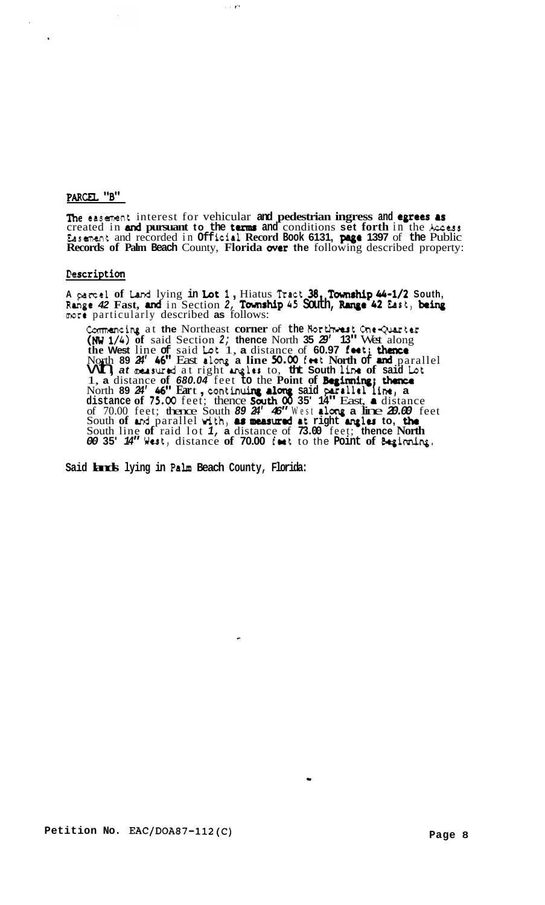# PARCEL "B"

 $\ddot{\phantom{a}}$ 

Ine easement interest for vehicular and pedestrian ingress and **egrees** as created in **and pursuant to the** tenus **and** conditions **set forth** in the **Access**  Easement and recorded in **Off** iclal **Record Book 6131, pase 1397** of **the** Public **Records of Palm Beach** County, **Florida** mer **the** following described property:

 $\sim 10^{12}$ 

# **Pescription**

**<sup>A</sup>parcel of** Land lying **in** Lot *1* , Hiatus nact **38, Town8hip** *Gb-1/2* **South, Range** *42* **Fast,** *md* in Section *2,* **Tovnrhip** *45* **South,** *R.nge <sup>42</sup>*East, **be**more particularly described **as** follows:

Commancing at the Northeast **corner** of the Borthwest One-Que **(NW** *1/4)* **of** said Section *2;* **thence** North **35** *29'* **13"** West along **the West** line **of** said Lat 1, **a** distance of **60.97 fwt; thence**  North 89 24' 46" East along a line 50.00 feet North of and parallel<br>VIT) at neasured at right angles to, the South line of said Lot **vu i** *at* measured at right angles to, the South line of said Ld 1, a distance of 680.04 feet to the Point of Beginning; thence North 89  $24'$  46" Eart, continuing along said parallel line, a **distance of 75.00** feet; thence **South 00** 35' 14" East, **a** distance of 70.00 feet; thence South  $89$   $24'$   $46''$  West **along a** line  $20.00$  feet of 70.00 feet; thence South 89 24' 45" West along a line 20.00 fe<br>South of and parallel with, as measured at right argles to, the South line **of** raid lot *1,* **a** distance of **73.00** feet; **thence North**  *<sup>00</sup>***35'** *14"* West, distance **of 70.00** foet to the **Point of** &ginning.

**Said lands lying in Palm Beach County, Florida:**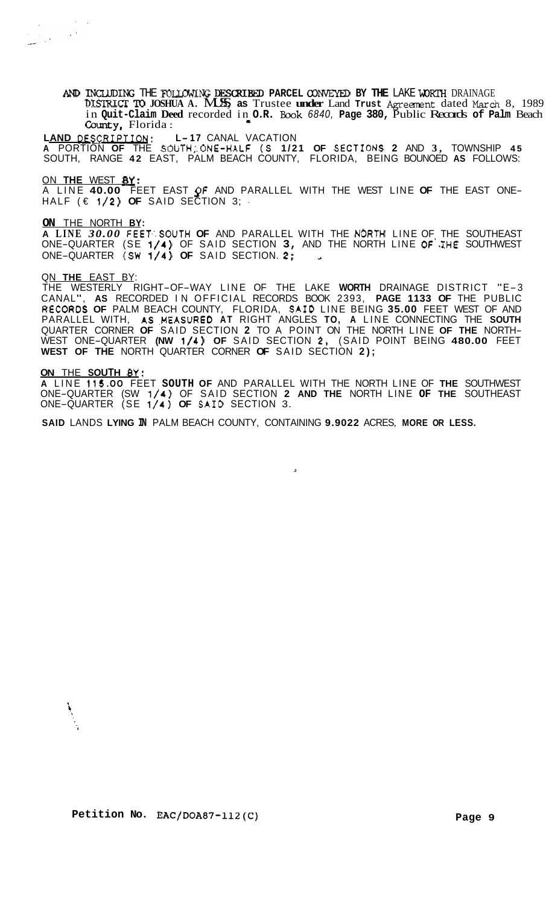AND INCLUDING THE FOLLOWING DESCRIBED PARCEL CONVEYED BY THE LAKE WORTH DRAINAGE **DISTRICT** TD **JOSHUA A.** MUSS, **as** Trustee **under** Land **Trust** Agreanent dated *March* 8, 1989 in **Quit-Claim Deed** recorded in **O.R. Book** *6840,* **Page 380,** Public Records **of Palm** Beach County, Florida:

**LAND** OESRIPTION: **L- <sup>17</sup>**CANAL VACATION **A** PORTION **OF** THE SOUTH,'.ONE-HALF **(S 1/21 OF** SECTIONS **2** AND **3,** TOWNSHIP **45**  SOUTH, RANGE **42** EAST, PALM BEACH COUNTY, FLORIDA, BEING BOUNOED **AS** FOLLOWS:

ON **THE** WEST **By:** 

HALF (€ **1/2) OF** SAID SECTION 3; ' A LINE **40.00** FEET EAST **QF** AND PARALLEL WITH THE WEST LINE **OF** THE EAST ONE-

**ON** THE NORTH **BY:** 

**A LINE** *30.00* FEET.'.SOUTH **OF** AND PARALLEL WITH THE NORTH LINE OF THE SOUTHEAST ONE-QUARTER (SE **1/4)** OF SAID SECTION **3,** AND THE NORTH LINE **OF'.XHE** SOUTHWEST ONE-QUARTER (SW **1/4) OF** SAID SECTION. **2;** *<sup>2</sup>*

# QN **THE** EAST BY:

THE WESTERLY RIGHT-OF-WAY LINE OF THE LAKE **WORTH** DRAINAGE DISTRICT "E-3 CANAL", **AS** RECORDED IN OFFICIAL RECORDS BOOK 2393, **PAGE 1133 OF** THE PUBLIC R.ECORDS **OF** PALM BEACH COUNTY, FLORIDA, SAID LINE BEING **35.00** FEET WEST OF AND PARALLEL WITH, AS MEASURED AT RIGHT ANGLES TO, A LINE CONNECTING THE SOUTH<br>QUARTER CORNER OF SAID SECTION 2 TO A POINT ON THE NORTH LINE OF THE NORTH-<br>WEST ONE-QUARTER (NW 1/4) OF SAID SECTION 2, (SAID POINT BEING 480.00 F **WEST OF THE** NORTH QUARTER CORNER **OF** SAID SECTION **2);** 

# **ON** THE **SOUTH** *ey:*

**A** LINE **115 .OO** FEET **SOUTH OF** AND PARALLEL WITH THE NORTH LINE OF **THE** SOUTHWEST ONE-QUARTER (SW **1/4)** OF SAID SECTION **2 AND THE** NORTH LINE **OF THE** SOUTHEAST ONE-QUARTER (SE **1/4) OF** SA10 SECTION 3.

**J** 

**SAID** LANDS **LYING IN** PALM BEACH COUNTY, CONTAINING **9.9022** ACRES, **MORE OR LESS.**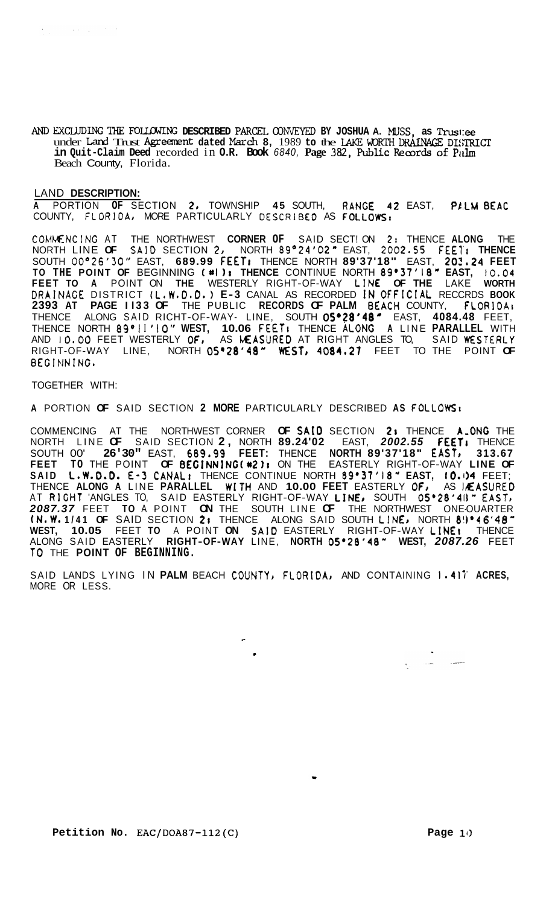*AND* EXCLUDING TKE **FouIgwzNG DESCRIBED** PARCEL *CONVEYED* **BY JOSHUA A.** MUSS, **as Trus1:ee**  under Land Trust Agreement dated March 8, 1989 to the LAKE WORTH DRAINAGE DISTRICT **in Quit-Claim Deed** recorded in **O.R. Book** *6840,* **Page 382,** Public Rear& **of Pidm**  Beach County, Florida.

# LAND **DESCRIPTION:**

**<sup>A</sup>**PORTION **OF** SECTION **2,** TOWNSHIP **45** SOUTH, RANGE **42** EAST, P1,LM **BEAC**  COUNTY, FLORIDA0 MORE PARTICULARLY **DESCRIBE0** AS FOLLOWSt

COLWENCING AT THE NORTHWEST **CORNER OF** SAID SECT! ON **21** THENCE **ALONG** THE NORTH LINE **OF** SAID SECTION **20** NORTH **89O24'02"** EAST, **2002\*SS FEE1'1 THENCE**  SOUTH *0O026'3O''* EAST, **689.99 FEETI** THENCE NORTH **89'37'18"** EAST, **202.24 FEET TO THE POINT OF** BEGINNING (\*I **11 THENCE** CONTINUE NORTH **89'37'18" EAST, 10.04 FEET TO A** POINT ON **THE** WESTERLY RIGHT-OF-WAY LIN€ **OF THE** LAKE **WORTH**  DRAINACE DISTRICT (L.W.0.0.) **E- 3** CANAL AS RECORDED **IN** OfFIClAL RECCRDS **BOOK 2393 AT PAGE I I33 OF** THE PUBLIC **RECORDS OF PALM** 6EACH COUNTY, **FLORlOAt**  THENCE ALONG SAID RICHT-OF-WAY- LINE, SOUTH **05'28'48'** EAST, **4084.48** FEET, THENCE NORTH **89O1 I 'IO" WEST, 10.06 FEETI** THENCE **ALONG A** LINE **PARALLEL** WITH AND **10.00** FEET WESTERLY **OF,** AS MASUREO AT RIGHT ANGLES TO, SAID **WEST€RLY**  RIGHT-OF-WAY LINE, NORTH **05'28'48" WSTI 4084.21** FEET TO THE POINT **OF**  BEGINNING.

# TOGETHER WITH:

**A** PORTION **OF** SAID SECTION **2 MORE** PARTICULARLY DESCRIBED **AS FOLLOWS1** 

COMMENCING AT THE NORTHWEST CORNER **OF SAfO** SECTION **21** THENCE A-ONG THE NORTH LINE **OF** SAID SECTION **2,** NORTH **89.24'02** EAST, *2002.55* **FEETI** THENCE SOUTH 00' **26'30"** EAST, **689.99 FEET:** THENCE **NORTH 89'37'18"** EASTJ **313.67 FEET TO** THE POINT **OF** BEGINNING(\*21r ON THE EASTERLY RIGHT-OF-WAY **LINE OF SAID L.W.D.D. E-3 CANAL**, THENCE CONTINUE NORTH **89'37'18" EAST, 10.04** FEET;<br>THENCE ALONG A LINE PARALLEL WITH AND 10.00 FEET EASTERLY OF, AS MEASURED THENCE **ALONG A** LINE **PARALLEL** WITH AND **10.00 FEET** EASTERLY **OF0** AS IAEASURED SAID EASTERLY RIGHT-OF-WAY LINE, SOUTH 05'28'41 FAST, *2087.37* FEET **TO** A POINT **ON** THE SOUTH LINE **OF** THE NORTHWEST ONE-OUARTER **(N.W. 1/41 OF** SAID SECTION **2;** THENCE ALONG SAID SOUTH LINEJ NORTH **8!)'46'48"**  ALONG SAID EASTERLY **RIGHT-OF-WAY** LINE, **NORTH 05'28'48" WEST,** *2087.26* FEET **WEST, 10.05** FEET **TO** A POINT **ON** SAID EASTERLY RIGHT-OF-WAY LINE; THENCE **TO** THE **POINT OF BEGINNING.** 

SAID LANDS LYING IN **PALM** BEACH COUNTY) **FLORIDA0** AND CONTAINING **1.417' ACRES,**  MORE OR LESS.

**Petition No. EAC/DOA87-112(C) Page 11)** 

 $\frac{1}{\sqrt{2}}$  ,  $\frac{1}{\sqrt{2}}$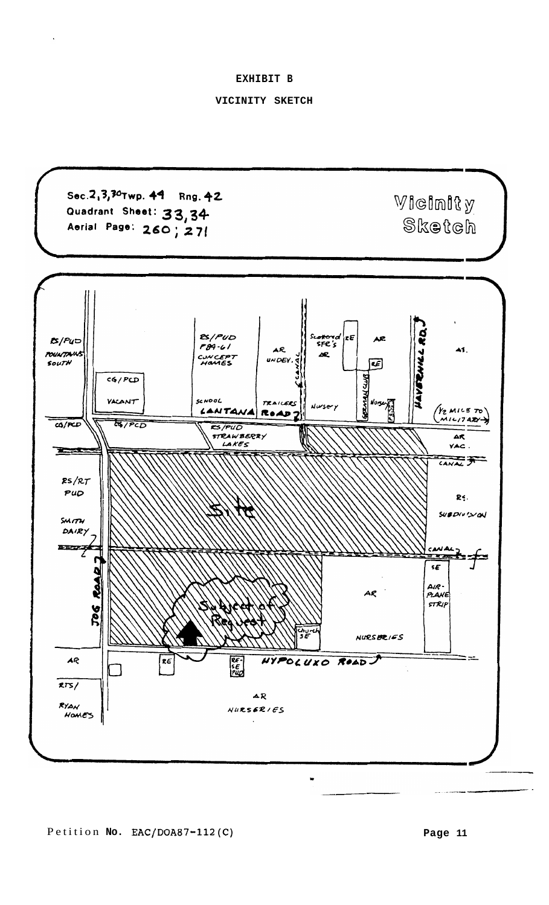**EXHIBIT B** 

# **VICINITY SKETCH**

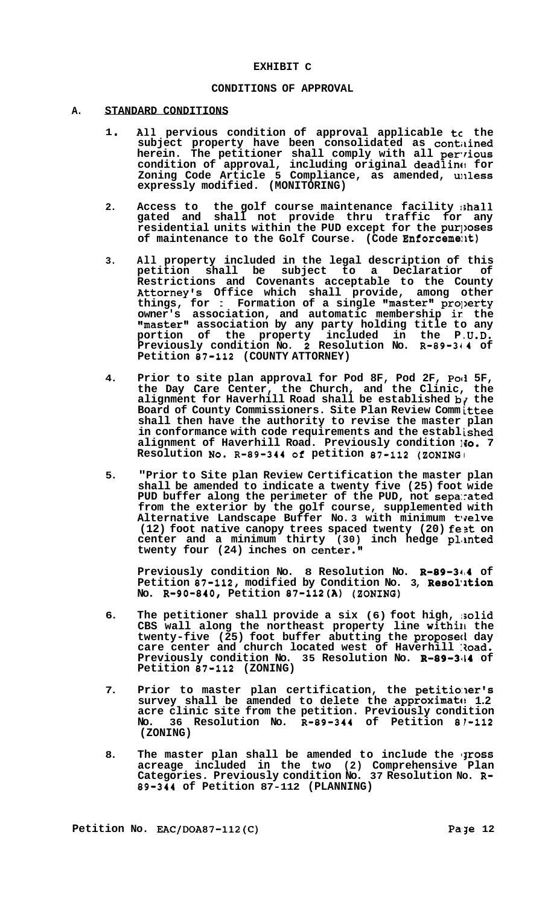### **CONDITIONS OF APPROVAL**

#### **A. STANDARD CONDITIONS**

- **<sup>1</sup>**. **All pervious condition of approval applicable tc the subject property have been consolidated as contilined herein. The petitioner shall comply with all perrious condition of approval, including original deadlinc! for**  Zoning Code Article 5 Compliance, as amended, unl**ess expressly modified. (MONITORING)**
- **2. Access to the golf course maintenance facility :;hall gated and shall not provide thru traffic for any residential units within the PUD except for the pur]>oses of maintenance to the Golf Course. (Code Enforceme:kt)**
- **3. All property included in the legal description of this petition shall be subject to a Declaratior of Restrictions and Covenants acceptable to the County Attorney's Office which shall provide, among other**  things, for : Formation of a single "master" property **owner's association, and automatic membership ir: the "master" association by any party holding title to any portion of the property included in the P ,U.D. Previously condition NO. 2 Resolution No. R-89-34.4 of Petition 87-112 (COUNTY ATTORNEY)**
- **4. Prior to site plan approval for Pod 8F, Pod 2F, Po11 5F, the Day Care Center, the Church, and the Clinic, the alignment for Haverhill Road shall be established b/ the Board of County Commissioners. Site Plan Review Comm ittee shall then have the authority to revise the master plan in conformance with code requirements and the establ ished alignment of Haverhill Road. Previously condition ]lo. 7 Resolution NO. R-89-344 of petition 87-112 (ZONING,**
- **5. "Prior to Site plan Review Certification the master plan shall be amended to indicate a twenty five (25) foot wide PUD buffer along the perimeter of the PUD, not sepa:rated from the exterior by the golf course, supplemented with**  Alternative Landscape Buffer No.3 with minimum twelve **(12) foot native canopy trees spaced twenty (20) fezt on center and a minimum thirty (30) inch hedge pLmted twenty four (24) inches on center."**

**Previously condition No. 8 Resolution No. R-89-34,4 of**  Petition 87-112, modified by Condition No. 3, Resolution **No. R-90-840, Petition 87-112(A) (SONING)** 

- **6. The petitioner shall provide a six (6) foot high, ;solid CBS wall along the northeast property line withilk the twenty-f ive (25) foot buffer abutting the proposeti day care center and church located west of Haverhill :?oad. Previously condition No. 35 Resolution No. R-89-3414 of Petition 87-112 (ZONING)**
- 7. Prior to master plan certification, the petitioner's survey shall be amended to delete the approximate 1.2 **acre clinic site from the petition. Previously condition No. 36 Resolution No. R-89-344 of Petition 81-112 (ZONING)**
- 8. The master plan shall be amended to include the **ITOSS acreage included in the two (2) Comprehensive Plan Categories. Previously condition No. 37 Resolution No. R-89-344 of Petition 87-112 (PLANNING)**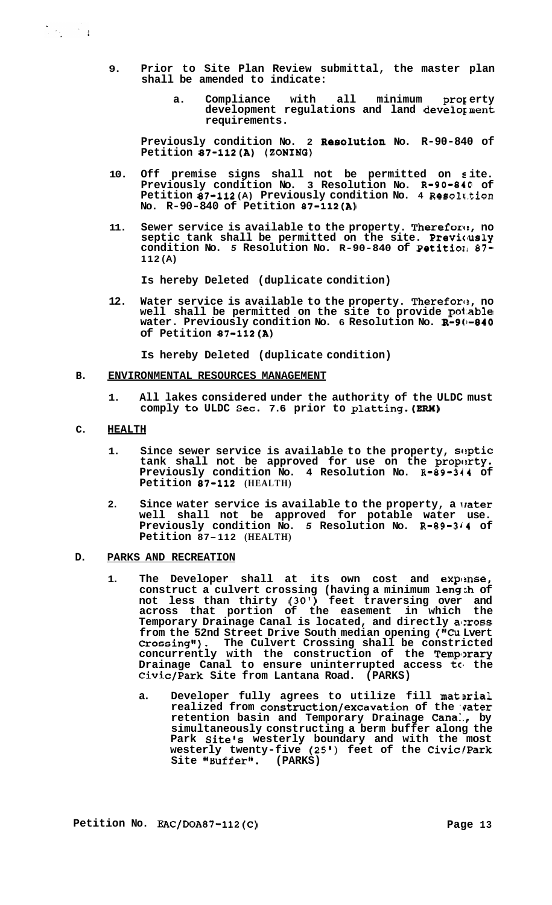**9. Prior to Site Plan Review submittal, the master plan** 

**shall be amended to indicate:** 

a. Compliance with all minimum proferty **development regulations and land develoyment requirements.** 

Previously condition No. 2 **Resolution** No. R-90-840 of **Petition 87-112(A) (SONINO)** 

- **10. Off premise signs shall not be permitted on s ite. Previously condition No. 3 Resolution No. R-90-840 of Petition 87-112 (A) Previously condition No. 4 Resolu.tion No. R-90-840 of Petition 87-112(A)**
- 11. Sewer service is available to the property. Therefore, no septic tank shall be permitted on the site. Previously **condition No.** *5* **Resolution No. R-90-840 of Petitio11** *87-*  **112 (A)**

**Is hereby Deleted (duplicate condition)** 

**12. Water service is available to the property. Therefort?, no well shall be permitted on the site to provide po1.able water. Previously condition No. 6 Resolution No. R-9(1-840 of Petition 87-112(A)** 

**Is hereby Deleted (duplicate condition)** 

#### **B. ENVIRONMENTAL RESOURCES MANAGEMENT**

**1. All lakes considered under the authority of the ULDC must comply to ULDC Sec. 7.6 prior to platting.(ERM)** 

#### **C. HEALTH**

- **1. Since sewer service is available to the property, sciptic**  tank shall not be approved for use on the property. **Previously condition No. 4 Resolution No. R-89-344 of Petition 87-112 (HEALTH)**
- **2. Since water service is available to the property, a lrater well shall not be approved for potable water use. Previously condition No.** *5* **Resolution No. R-89-344 of Petition 87-112 (HEALTH)**

# **D. PARKS AND RECREATION**

- 1. The Developer shall at its own cost and expense, **construct a culvert crossing (having a minimum lengch of not less than thirty (30') feet traversing over and across that portion of the easement in which the Temporary Drainage Canal is located, and directly a1:ross from the 52nd Street Drive South median opening ("Cu Lvert Crossing"). The Culvert Crossing shall be constricted concurrently with the construction of the Tempxary Drainage Canal to ensure uninterrupted access tc, the Civic/Park Site from Lantana Road. (PARKS)** 
	- a. Developer fully agrees to utilize fill material realized from construction/excavation of the vater **retention basin and Temporary Drainage Cana:., by simultaneously constructing a berm buffer along the Park Site's westerly boundary and with the most westerly twenty-f ive (25'** ) **feet of the Civic/Park Site "Buffer". (PARKS)**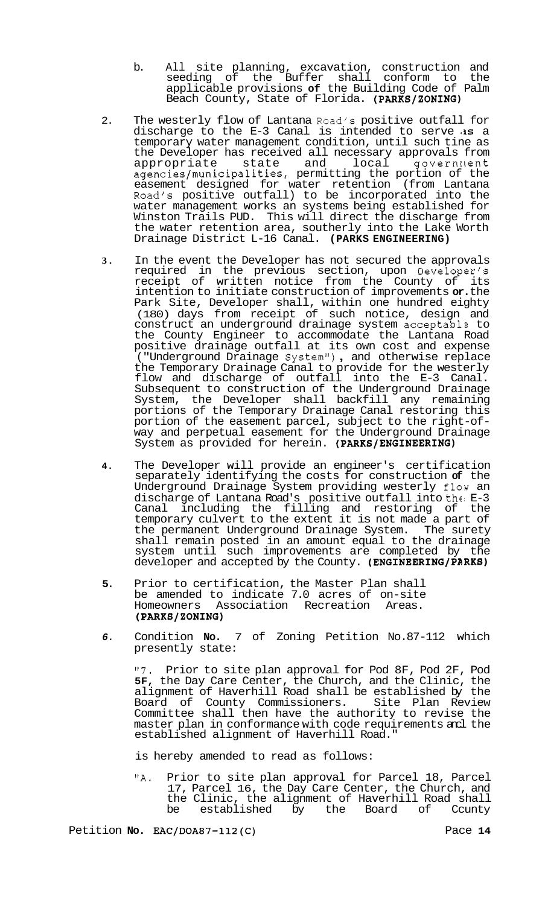- b. All site planning, excavation, construction and seeding of the Buffer shall conform to the applicable provisions **of** the Building Code of Palm Beach County, State of Florida. **(PARKS/ZONING)**
- 2. The westerly flow of Lantana Road's positive outfall for discharge to the E-3 Canal is intended to serve **<IS** a temporary water management condition, until such tine as the Developer has received all necessary approvals from appropriate state and local government **agencies/municipalities,** permitting the portion of the easement designed for water retention (from Lantana Road's positive outfall) to be incorporated into the water management works an systems being established for Winston Trails PUD. This will direct the discharge from the water retention area, southerly into the Lake Worth Drainage District L-16 Canal. **(PARKS ENGINEERING)**
- **3.** In the event the Developer has not secured the approvals required in the previous section, upon Developer's receipt of written notice from the County of its intention to initiate construction of improvements **or.** the Park Site, Developer shall, within one hundred eighty (180) days from receipt of such notice, design and construct an underground drainage system acceptable to the County Engineer to accommodate the Lantana Road positive drainage outfall at its own cost and expense ("Underground Drainage System"), and otherwise replace the Temporary Drainage Canal to provide for the westerly flow and discharge of outfall into the E-3 Canal. Subsequent to construction of the Underground Drainage System, the Developer shall backfill any remaining portions of the Temporary Drainage Canal restoring this portion of the easement parcel, subject to the right-of- way and perpetual easement for the Underground Drainage System as provided for herein. **(PARKS/ENGINEERING)**
- **4.** The Developer will provide an engineer's certification separately identifying the costs for construction **of** the Underground Drainage System providing westerly flow an discharge of Lantana Road's positive outfall into the E-3 Canal including the filling and restoring of the temporary culvert to the extent it is not made a part of the permanent Underground Drainage System. The surety shall remain posted in an amount equal to the drainage system until such improvements are completed by the developer and accepted by the County. **(ENGINEERING/PARKS)**
- **5.** Prior to certification, the Master Plan shall be amended to indicate 7.0 acres of on-site Homeowners Association Recreation Areas. **(PARKS/ZONING)**
- *6.* Condition **No.** 7 of Zoning Petition No.87-112 which presently state:

"7. Prior to site plan approval for Pod 8F, Pod 2F, Pod **5F,** the Day Care Center, the Church, and the Clinic, the alignment of Haverhill Road shall be established by the Board of County Commissioners. Site Plan Review Committee shall then have the authority to revise the master plan in conformance with code requirements ancl the established alignment of Haverhill Road."

is hereby amended to read as follows:

**"A.** Prior to site plan approval for Parcel 18, Parcel 17, Parcel 16, the Day Care Center, the Church, and the Clinic, the alignment of Haverhill Road shall<br>be established by the Board of Ccunty be established by the Board of Ccunty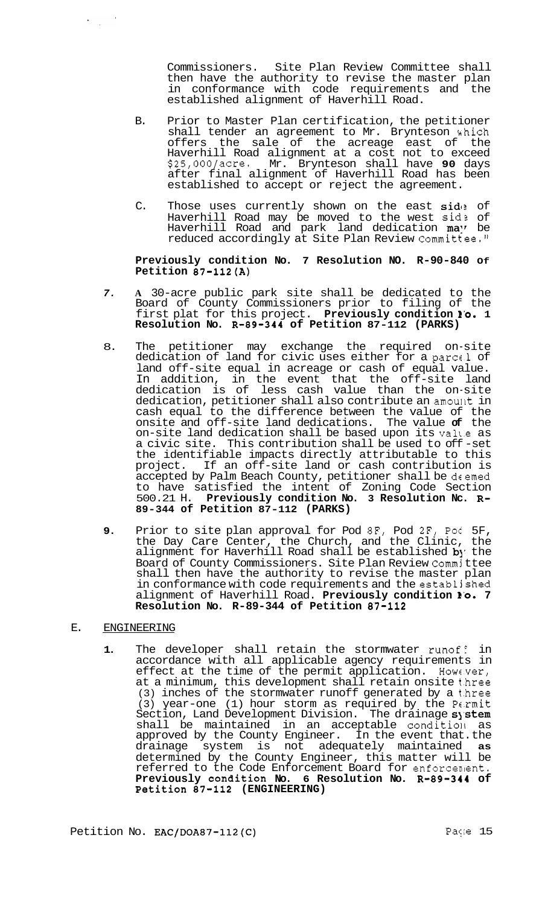Commissioners. Site Plan Review Committee shall then have the authority to revise the master plan in conformance with code requirements and the established alignment of Haverhill Road.

- B. Prior to Master Plan certification, the petitioner shall tender an agreement to Mr. Brynteson which offers the sale of the acreage east of the Haverhill Road alignment at a cost not to exceed \$25,00O/acre. Mr. Brynteson shall have **90** days after final alignment of Haverhill Road has been established to accept or reject the agreement.
- C. Those uses currently shown on the east side of Haverhill Road may be moved to the west sid? of Haverhill Road and park land dedication **ma**" be reduced accordingly at Site Plan Review Committee."

# **Previously condition No. 7 Resolution NO. R-90-840 Of Petition 87-112(A)**

- *7.* **A** 30-acre public park site shall be dedicated to the Board of County Commissioners prior to filing of the first plat for this project. **Previously condition 1'0. 1 Resolution No. R-89-344 of Petition 87-112 (PARKS)**
- 8. The petitioner may exchange the required on-site dedication of land for civic uses either for a parcel of land off-site equal in acreage or cash of equal value. In addition, in the event that the off-site land dedication is of less cash value than the on-site dedication, petitioner shall also contribute an amount in cash equal to the difference between the value of the onsite and off-site land dedications. The value **of** the on-site land dedication shall be based upon its va1t.e as a civic site. This contribution shall be used to off -set the identifiable impacts directly attributable to this project. If an off-site land or cash contribution is accepted by Palm Beach County, petitioner shall be deemed to have satisfied the intent of Zoning Code Section 500.21 H. **Previously condition No. 3 Resolution Nc. R-89-344 of Petition 87-112 (PARKS)**
- **9.** Prior to site plan approval for Pod **8F,** Pod 2F, Pol 5F, the Day Care Center, the Church, and the Clinic, the alignment for Haverhill Road shall be established **b**y' the Board of County Commissioners. Site Plan Review Commj ttee shall then have the authority to revise the master plan in conformance with code requirements and the establjshed alignment of Haverhill Road. **Previously condition 1'0. 7 Resolution No. R-89-344 of Petition 87-112**

# E. ENGINEERING

1. The developer shall retain the stormwater runof: in accordance with all applicable agency requirements in effect at the time of the permit application. However, at a minimum, this development shall retain onsite t.hree (3) inches of the stormwater runoff generated by a t.hree (3) year-one (1) hour storm as required by the Parmit Section, Land Development Division. The drainage system shall be maintained in an acceptable condition as approved by the County Engineer. In the event that. the drainage system is not adequately maintained **as**  determined by the County Engineer, this matter will be referred to the Code Enforcement Board for enforcenlent. Previously condition No. 6 Resolution No. R-89-344 of **Petition 87-112 (ENGINEERING)**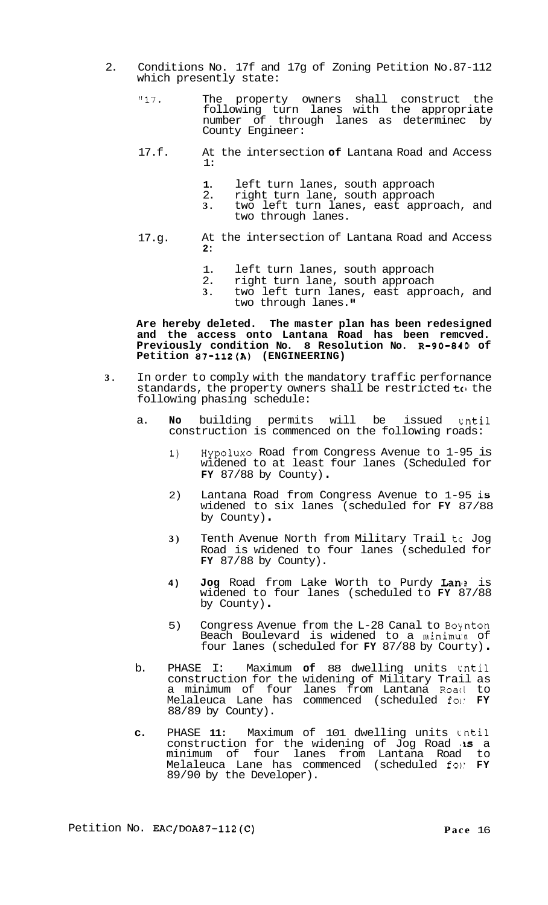- 2. Conditions No. 17f and 17g of Zoning Petition No.87-112 which presently state:
	- "17. The property owners shall construct the following turn lanes with the appropriate number of through lanes as determinec by County Engineer:
	- 17.f. At the intersection **of** Lantana Road and Access 1:
		- **1.** left turn lanes, south approach<br>2. right turn lane, south approach
		- 2. right turn lane, south approach<br>3. two left turn lanes, east appro
			- **3.** two left turn lanes, east approach, and two through lanes.
	- 17.g. At the intersection of Lantana Road and Access **2:** 
		- 1. left turn lanes, south approach<br>2. right turn lane, south approach
		- right turn lane, south approach
		- **3.** two left turn lanes, east approach, and two through lanes.

**Are hereby deleted. The master plan has been redesigned and the access onto Lantana Road has been remcved. Previously condition No. 8 Resolution No. R-90-840 of Petition 87-112(A) (ENGINEERING)** 

- **3.** In order to comply with the mandatory traffic perfornance standards, the property owners shall be restricted  $t_0$  the following phasing schedule:
	- a. **No** building permits will be issued cntil construction is commenced on the following roads:
		- 1) Hypolux0 Road from Congress Avenue to 1-95 is widened to at least four lanes (Scheduled for **FY** 87/88 by County) .
		- 2) Lantana Road from Congress Avenue to 1-95 is widened to six lanes (scheduled for **FY** 87/88 by County) .
		- **3)** Tenth Avenue North from Military Trail tc Jog Road is widened to four lanes (scheduled for **FY** 87/88 by County).
		- **4) Jog** Road from Lake Worth to Purdy Lam? is widened to four lanes (scheduled to **FY** 87/88 by County) .
		- $5)$  Congress Avenue from the L-28 Canal to Boynton Beach Boulevard is widened to a minimu:n of four lanes (scheduled for **FY** 87/88 by Courty) .
	- b. PHASE I: Maximum **of** 88 dwelling units cntil construction for the widening of Military Trail as a minimum of four lanes from Lantana Roacl to Melaleuca Lane has commenced (scheduled fol- **FY**  88/89 by County).
	- **c.** PHASE **11:** Maximum of 101 dwelling units cntil construction for the widening of Jog Road **'is** a minimum of four lanes from Lantana Road to Melaleuca Lane has commenced (scheduled for **FY** 89/90 by the Developer).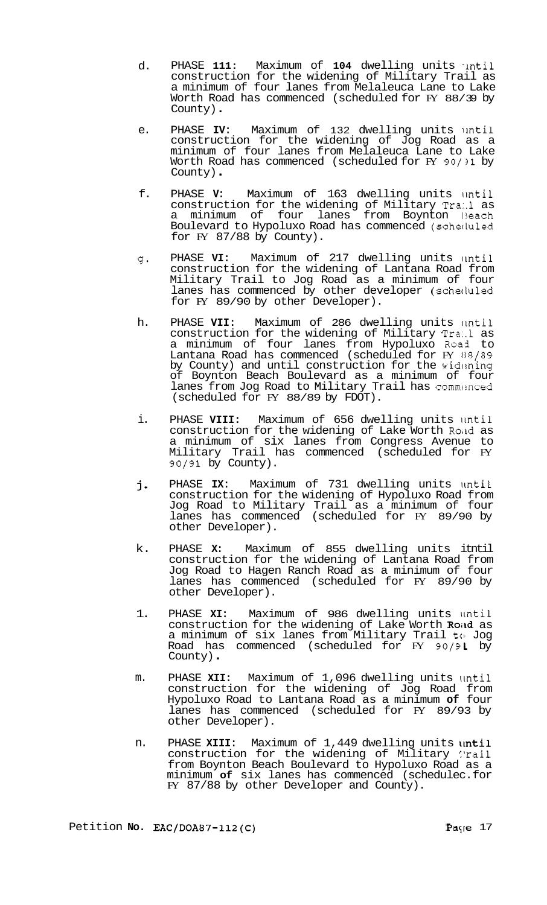- d. PHASE 111: Maximum of 104 dwelling units until construction for the widening of Military Trail as a minimum of four lanes from Melaleuca Lane to Lake Worth Road has commenced (scheduled for FY 88/39 by County) .
- e. PHASE IV: Maximum of 132 dwelling units until construction for the widening of Jog Road as a minimum of four lanes from Melaleuca Lane to Lake Worth Road has commenced (scheduled for FY 90/31 by County) .
- f. PHASE V: Maximum of 163 dwelling units until construction for the widening of Military Tra..l as a minimum of four lanes from Boynton 13each Boulevard to Hypoluxo Road has commenced (scheciuled for  $FY$  87/88 by County).
- $q$ . PHASE VI: Maximum of 217 dwelling units until construction for the widening of Lantana Road from Military Trail to Jog Road as a minimum of four lanes has commenced by other developer (scheduled for FY 89/90 by other Developer).
- h. PHASE VII: Maximum of 286 dwelling units until construction for the widening of Military Tra:.l as a minimum of four lanes from Hypoluxo Road to Lantana Road has commenced (scheduled for  $\rm{F}$  88/89 by County) and until construction for the widening of Boynton Beach Boulevard as a minimum of four lanes from Jog Road to Military Trail has commenced (scheduled for FY 88/89 by FDOT).
- i. PHASE VIII: Maximum of 656 dwelling units until construction for the widening of Lake Worth Road as a minimum of six lanes from Congress Avenue to Military Trail has commenced (scheduled for FY 90/91 by County).
- **j.**  PHASE IX: Maximum of 731 dwelling units until construction for the widening of Hypoluxo Road from Jog Road to Military Trail as a minimum of four lanes has commenced (scheduled for FY 89/90 by other Developer).
- k. PHASE **X:** Maximum of 855 dwelling units itntil construction for the widening of Lantana Road from Jog Road to Hagen Ranch Road as a minimum of four lanes has commenced (scheduled for FY 89/90 by other Developer).
- 1. PHASE XI: Maximum of 986 dwelling units until construction for the widening of Lake Worth Road as a minimum of six lanes from Military Trail to Jog Road has commenced (scheduled for FY 90/91 by County).
- m. PHASE XII: Maximum of 1,096 dwelling units \Intil construction for the widening of Jog Road from Hypoluxo Road to Lantana Road as a minimum **of** four lanes has commenced (scheduled for FY 89/93 by other Developer).
- n. PHASE XIII: Maximum of 1,449 dwelling units until construction for the widening of Military :'rail from Boynton Beach Boulevard to Hypoluxo Road as a minimum **of** six lanes has commenced (schedulec. for FY 87/88 by other Developer and County).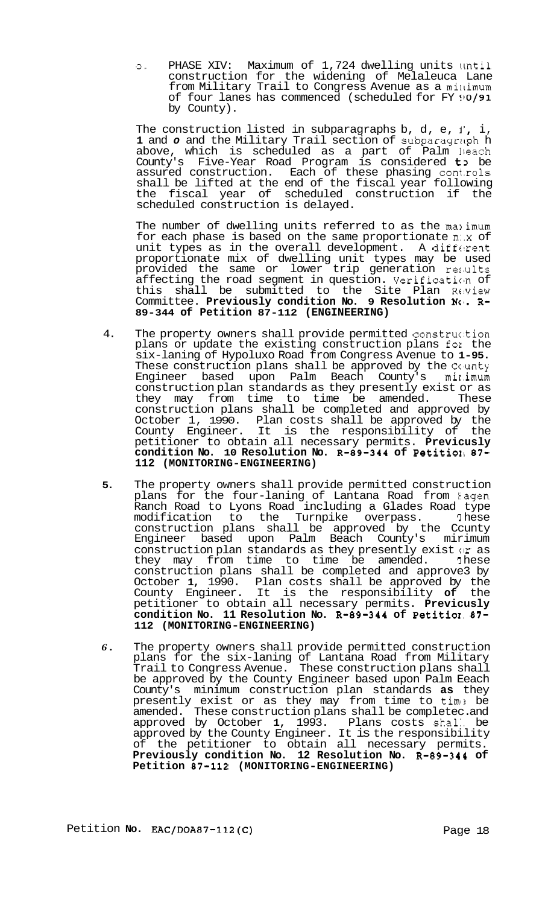0. PHASE XIV: Maximum of 1,724 dwelling units until construction for the widening of Melaleuca Lane from Military Trail to Congress Avenue as a minimum of four lanes has commenced (scheduled for FY !10/91 by County).

The construction listed in subparagraphs b, d, e,  $i$ , i, 1 and o and the Military Trail section of subparagraph h above, which is scheduled as a part of Palm Ibeach County's Five-Year Road Program is considered t> be assured construction. Each of these phasing controls shall be lifted at the end of the fiscal year following the fiscal year of scheduled construction if the scheduled construction is delayed.

The number of dwelling units referred to as the manimum for each phase is based on the same proportionate m:.x of unit types as in the overall development. A different proportionate mix of dwelling unit types may be used provided the same or lower trip generation results affecting the road segment in question. Verification of this shall be submitted to the Site Plan Re:view Committee. Previously condition No. 9 Resolution No. R-**89-344 of Petition 87-112 (ENGINEERING)** 

- 4. The property owners shall provide permitted construction plans or update the existing construction plans fox the six-laning of Hypoluxo Road from Congress Avenue to **1-95.**  These construction plans shall be approved by the County Engineer based upon Palm Beach County's mir.imum construction plan standards as they presently exist or as they may from time to time be amended. These construction plans shall be completed and approved by October 1, 1990. Plan costs shall be approved by the County Engineer. It is the responsibility of the petitioner to obtain all necessary permits. **Previcusly condition No. 10 Resolution No. R-89-344 of PetitioII 87- 112 (MONITORING-ENGINEERING)**
- **5.** The property owners shall provide permitted construction plans for the four-laning of Lantana Road from Eagen Ranch Road to Lyons Road including a Glades Road type modification to the Turnpike overpass. '1 hese construction plans shall be approved by the Ccunty Engineer based upon Palm Beach County's mirimum construction plan standards as they presently exist or as<br>they may from time to time be amended. These they may from time to time be amended. construction plans shall be completed and approve3 by October **1,** 1990. Plan costs shall be approved by the County Engineer. It is the responsibility **of** the petitioner to obtain all necessary permits. **Previcusly condition No. 11 Resolution No. R-89-344 of Petitiol. 87- 112 (MONITORING-ENGINEERING)**
- *6.* The property owners shall provide permitted construction plans for the six-laning of Lantana Road from Military Trail to Congress Avenue. These construction plans shall be approved by the County Engineer based upon Palm Eeach County's minimum construction plan standards **as** they presently exist or as they may from time to time be amended. These construction plans shall be completed and amended. These construction plans shall be completec. and approved by October **1,** 1993. Plans costs shal:. be approved by the County Engineer. It is the responsibility of the petitioner to obtain all necessary permits. **Previously condition No. 12 Resolution No. R-89-341 of Petition 87-112 (MONITORING-ENGINEERING)**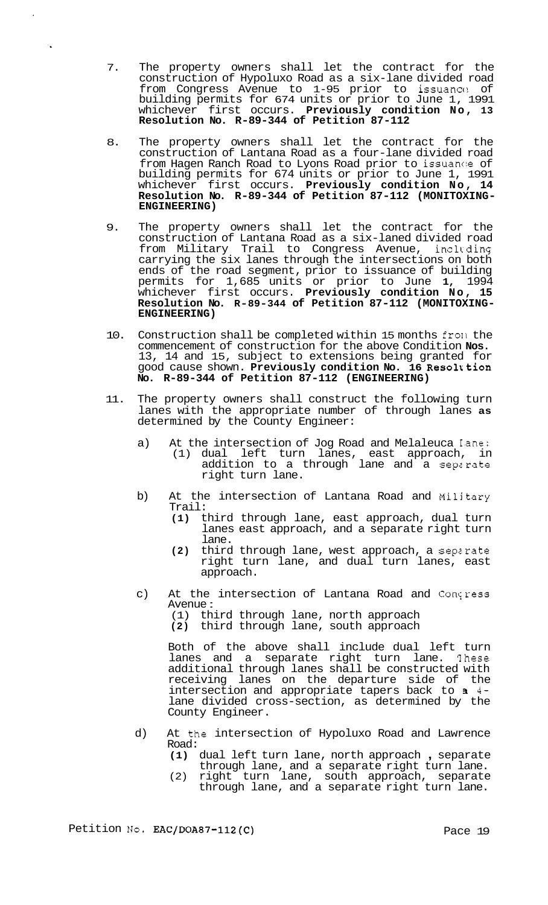7. The property owners shall let the contract for the construction of Hypoluxo Road as a six-lane divided road from Congress Avenue to 1-95 prior to issuance of building permits for 674 units or prior to June 1, 1991 whichever first occurs. **Previously condition No, 13 Resolution No. R-89-344 of Petition 87-112** 

 $\mathcal{L}_{\mathbf{a}}$ 

- 8. The property owners shall let the contract for the construction of Lantana Road as a four-lane divided road from Hagen Ranch Road to Lyons Road prior to issuance of building permits for 674 units or prior to June 1, 1991 whichever first occurs. **Previously condition No, 14 Resolution No. R-89-344 of Petition 87-112 (MONITOXING- ENGINEERING)**
- 9. The property owners shall let the contract for the construction of Lantana Road as a six-laned divided road from Military Trail to Congress Avenue, including carrying the six lanes through the intersections on both ends of the road segment, prior to issuance of building permits for 1,685 units or prior to June **1,** 1994 whichever first occurs. **Previously condition No, 15 Resolution No. R-89-344 of Petition 87-112 (MONITOXING- ENGINEERING)**
- 10. Construction shall be completed within 15 months fro11 the commencement of construction for the above Condition **Nos.**  13, 14 and 15, subject to extensions being granted for good cause shown. **Previously condition No. 16 Resolxtion No. R-89-344 of Petition 87-112 (ENGINEERING)**
- 11. The property owners shall construct the following turn lanes with the appropriate number of through lanes **as**  determined by the County Engineer:
	- a) At the intersection of Jog Road and Melaleuca Iane: (1) dual left turn lanes, east approach, in addition to a through lane and a sepzrate right turn lane.
	- b) At the intersection of Lantana Road and Military Trail:
		- **(1)** third through lane, east approach, dual turn lanes east approach, and a separate right turn lane.
		- **(2)** third through lane, west approach, a seperate right turn lane, and dual turn lanes, east approach.
	- c) At the intersection of Lantana Road and Concress Avenue :
		- (1) third through lane, north approach
		- **(2)** third through lane, south approach

Both of the above shall include dual left turn lanes and a separate right turn lane. 'Ihese additional through lanes shall be constructed with receiving lanes on the departure side of the intersection and appropriate tapers back to **3** 4 lane divided cross-section, as determined by the County Engineer.

- d) At the intersection of Hypoluxo Road and Lawrence Road:
	- **(1)** dual left turn lane, north approach , separate through lane, and a separate right turn lane.
	- (2) right turn lane, south approach, separate through lane, and a separate right turn lane.

Petition No. **EAC/DOA87-112(C)** Pace 19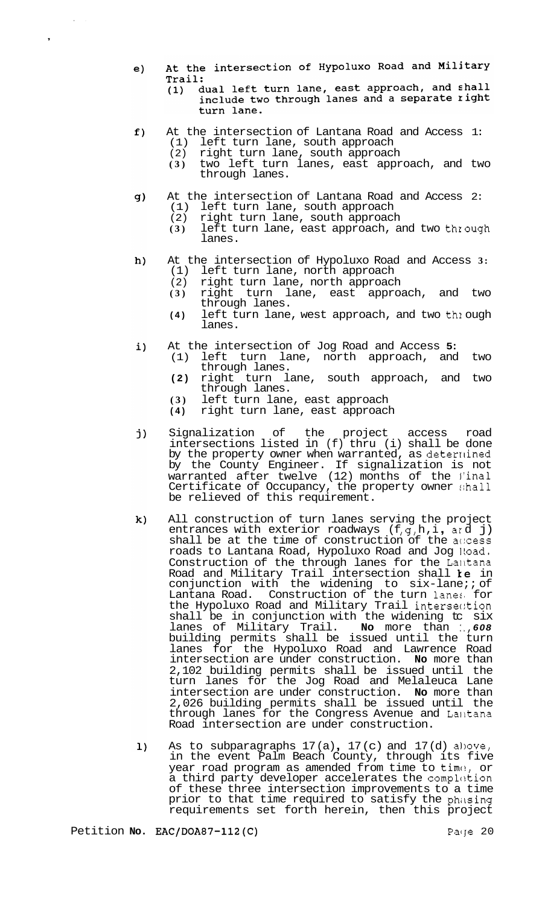- At the intersection of Hypoluxo Road and Military  $e)$ Trail:
	- ..<br>dual left turn lane, east approach, and shall<br>include two through lanes and a separate right  $(1)$ turn lane.
- $f)$ At the intersection of Lantana Road and Access 1: (1) left turn lane, south approach<br>(2) right turn lane, south approach
	- right turn lane, south approach

I.

,

- **(3)** two left turn lanes, east approach, and two through lanes.
- At the intersection of Lantana Road and Access 2:<br>(1) left turn lane, south approach  $g)$ 
	- (1) left turn lane, south approach<br>(2) right turn lane, south approacl
	- (2) right turn lane, south approach<br>(3) left turn lane, east approach, a
	- left turn lane, east approach, and two through lanes.
- At the intersection of Hypoluxo Road and Access **3:**   $h)$ left turn lane, north approach
	- $(2)$  right turn lane, north approach<br>(3) right turn lane, east appro
	- turn lane, east approach, and two through lanes.
	- **(4)** left turn lane, west approach, and two thl ough lanes.
- $\mathbf{i}$ ) At the intersection of Jog Road and Access **5:** 
	- (1) left turn lane, north approach, and two through lanes.
	- **(2)** right turn lane, south approach, and two through lanes.
	- **(3)** left turn lane, east approach
	- **(4)** right turn lane, east approach
- Signalization of the project access road j) intersections listed in (f) thru (i) shall be done by the property owner when warranted, as deterrlined by the County Engineer. If signalization is not warranted after twelve (12) months of the l'inal Certificate of Occupancy, the property owner :;hall be relieved of this requirement.
- $\mathbf{k}$ ) All construction of turn lanes serving the project All construction of turn lanes serving the project<br>entrances with exterior roadways (f,g,h,i, ard j) shall be at the time of construction of the access roads to Lantana Road, Hypoluxo Road and Jog Hoad. Construction of the through lanes for the Lantana Road and Military Trail intersection shall  $\bm{k}\bm{e}$  in conjunction with the widening to six-lane;; of Lantana Road. Construction of the turn lanes for<br>the Hypoluxo Road and Military Trail intersection Lantana Road. Construction of the turn lanes, for shall be in conjunction with the widening tc six lanes of Military Trail. **No** more than :., *608*  building permits shall be issued until the turn lanes for the Hypoluxo Road and Lawrence Road intersection are under construction. **No** more than 2,102 building permits shall be issued until the turn lanes for the Jog Road and Melaleuca Lane intersection are under construction. **No** more than 2,026 building permits shall be issued until the through lanes for the Congress Avenue and Lalltana Road intersection are under construction.
- As to subparagraphs  $17(a)$ ,  $17(c)$  and  $17(d)$  allove,  $\mathbf{1}$ in the event Palm Beach County, through its five year road program as amended from time to time, or a third party developer accelerates the completion of these three intersection improvements to a time prior to that time required to satisfy the phasing requirements set forth herein, then this project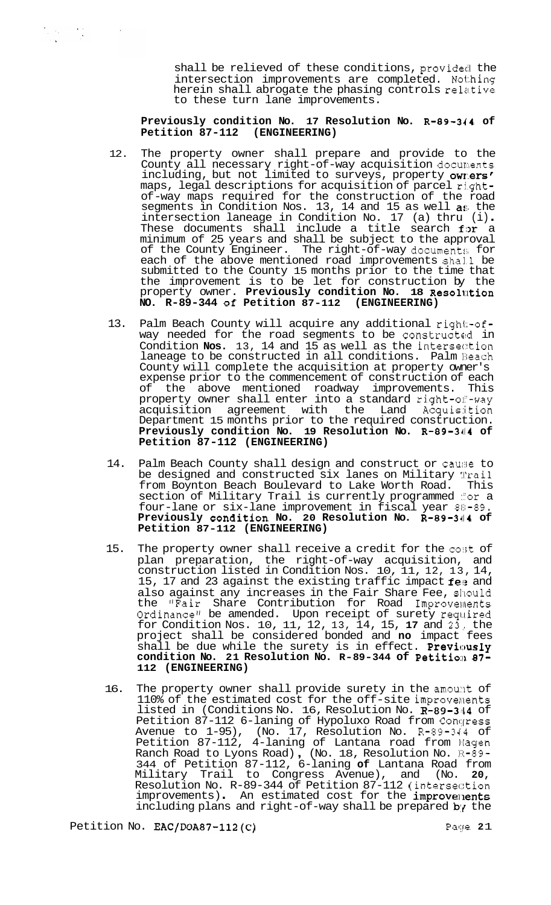shall be relieved of these conditions, provided the intersection improvements are completed. Nothing herein shall abrogate the phasing controls relative to these turn lane improvements.

# **Previously condition No. 17 Resolution No. R-89-344 of Petition 87-112**

- 12. The property owner shall prepare and provide to the County all necessary right-of-way acquisition documents including, but not limited to surveys, property owners' maps, legal descriptions for acquisition of parcel rightof -way maps required for the construction of the road segments in Condition Nos. 13, 14 and 15 as well  $a$ s the segments in Condition Nos. 13, 14 and 15 as well **a**s the<br>intersection laneage in Condition No. 17 (a) thru (i).<br>These documents shall include a title search for a minimum of 25 years and shall be subject to the approval of the County Engineer. The right-of-way documents for each of the above mentioned road improvements shall be submitted to the County 15 months prior to the time that the improvement is to be let for construction by the property owner. **Previously condition No. 18 Resolution NO. R-89-344 Of Petition 87-112 (ENGINEERING)**
- 13. Palm Beach County will acquire any additional right-ofway needed for the road segments to be constructed in Condition **Nos.** 13, 14 and 15 as well as the intersection laneage to be constructed in all conditions. Palm Beach County will complete the acquisition at property owner's expense prior to the commencement of construction of each<br>of the above mentioned roadway improvements. This the above mentioned roadway improvements. This property owner shall enter into a standard right-of-way acquisition agreement with the Land Acquis:i.tion Department 15 months prior to the required construction. **Previously condition No. 19 Resolution No. R-89-3414 of Petition 87-112 (ENGINEERING)**
- 14. Palm Beach County shall design and construct or cause to be designed and constructed six lanes on Military Wrail from Boynton Beach Boulevard to Lake Worth Road. This from Boynton Beach Boulevard to Lake Worth Road. section of Military Trail is currently programmed #or a four-lane or six-lane improvement in fiscal year  $80-89$ . **Previously condition No. 20 Resolution No. R-89-344 of Petition 87-112 (ENGINEERING)**
- 15. The property owner shall receive a credit for the cost of plan preparation, the right-of-way acquisition, and construction listed in Condition Nos. 10, 11, 12, 13, 14, 15, 17 and 23 against the existing traffic impact  $f\mathbf{e}$ : and also against any increases in the Fair Share Fee, should the "Fair Share Contribution for Road Improvements Ordinance" be amended. Upon receipt of surety required for Condition Nos. 10, 11, 12, 13, 14, 15, **17** and 23,, the project shall be considered bonded and **no** impact fees shall be due while the surety is in effect. **Previously condition No. 21 Resolution No. R-89-344 of Petition 87-112 (ENGINEERING)**
- 16. The property owner shall provide surety in the amount of 110% of the estimated cost for the off-site improvements listed in (Conditions No. 16, Resolution No. R-89-344 of Petition 87-112 6-laning of Hypoluxo Road from Conqress Avenue to 1-95), (No. 17, Resolution No. R-89-344 of Petition 87-112, 4-laning of Lantana road from Hagen Petition 87-112, 4-laning of Lantana road from Magen<br>Ranch Road to Lyons Road), (No. 18, Resolution No. 1:1-89-344 of Petition 87-112, 6-laning **of** Lantana Road from Military Trail to Congress Avenue), and (No. **20,**  Resolution No. R-89-344 of Petition 87-112 (intersection<br>improvements) . An estimated cost for the improvements including plans and right-of-way shall be prepared by the

Petition No. **EAC/DOA87-112(C)** Page 21

 $\label{eq:2.1} \frac{1}{2} \sum_{i=1}^n \frac{1}{2} \sum_{i=1}^n \frac{1}{2} \sum_{i=1}^n \frac{1}{2} \sum_{i=1}^n \frac{1}{2} \sum_{i=1}^n \frac{1}{2} \sum_{i=1}^n \frac{1}{2} \sum_{i=1}^n \frac{1}{2} \sum_{i=1}^n \frac{1}{2} \sum_{i=1}^n \frac{1}{2} \sum_{i=1}^n \frac{1}{2} \sum_{i=1}^n \frac{1}{2} \sum_{i=1}^n \frac{1}{2} \sum_{i=1}^n \frac{$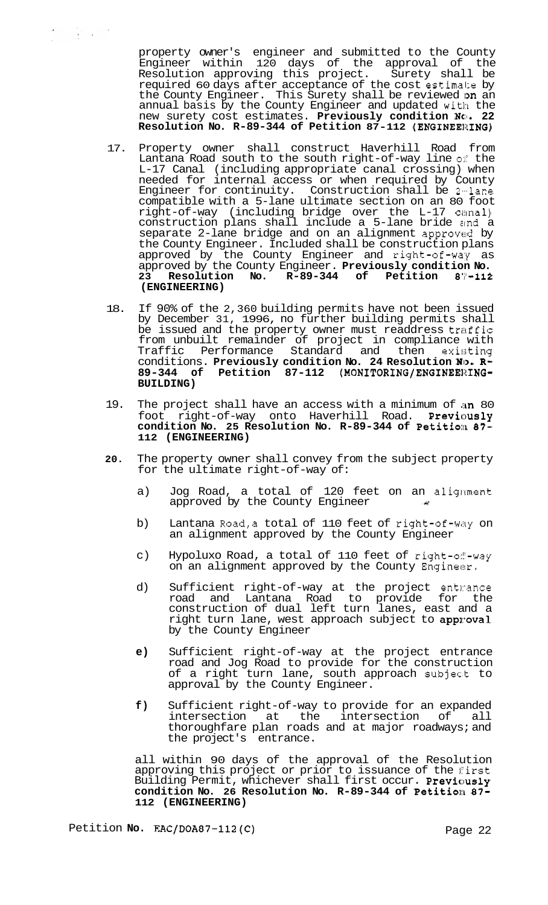property owner's engineer and submitted to the County Engineer within 120 days of the approval of the<br>Resolution approving this project. Surety shall be Resolution approving this project. Surety shall be required 60 days after acceptance of the cost estimake by the County Engineer. This Surety shall be reviewed on an annual basis by the County Engineer and updated with the new surety cost estimates. Previously condition NO. 22 Resolution No. R-89-344 of Petition 87-112 (ENGINEERING)

- 17. Property owner shall construct Haverhill Road from Lantana Road south to the south right-of-way line of the L-17 Canal (including appropriate canal crossing) when needed for internal access or when required by County Engineer for continuity. Construction shall be 2-lane compatible with a 5-lane ultimate section on an 80 foot right-of-way (including bridge over the L-17 ciimal) construction plans shall include a 5-lane bride and a separate 2-lane bridge and on an alignment approved by the County Engineer. Included shall be construction plans approved by the County Engineer and right-of-way as approved by the County Engineer. **Previously condition No.**  23 Resolution No. R-89-344 of Petition **(ENGINEERING)**
- 18. If 90% of the 2,360 building permits have not been issued by December 31, 1996, no further building permits shall be issued and the property owner must readdress traffic from unbuilt remainder of project in compliance with Traffic Performance Standard and then existing conditions. **Previously condition No. 24 Resolution No. R-**89-344 of Petition 87-112 (MONITORING/ENGINEERING-**BUILDING)**
- 19. The project shall have an access with a minimum of an 80 foot right-of-way onto Haverhill Road. **Previcusly condition No. 25 Resolution No. R-89-344 of Petition 87- 112 (ENGINEERING)**
- **20.** The property owner shall convey from the subject property for the ultimate right-of-way of:
	- a) Jog Road, a total of 120 feet on an alignment approved by the County Engineer
	- b) Lantana Road, a total of 110 feet of right-of-way on an alignment approved by the County Engineer
	- c) Hypoluxo Road, a total of 110 feet of right-of-way on an alignment approved by the County Engineer.
	- d) Sufficient right-of-way at the project entwance road and Lantana Road to provide for the construction of dual left turn lanes, east and a right turn lane, west approach subject to **approval** by the County Engineer
	- **e)** Sufficient right-of-way at the project entrance road and Jog Road to provide for the construction of a right turn lane, south approach subjec.t to approval by the County Engineer.
	- **f)** Sufficient right-of-way to provide for an expanded the intersection of thoroughfare plan roads and at major roadways; and the project's entrance.

all within 90 days of the approval of the Resolution approving this project or prior to issuance of the first Building Permit, whichever shall first occur. **Previcusly**  condition No. 26 Resolution No. R-89-344 of Petition 87-**112 (ENGINEERING)**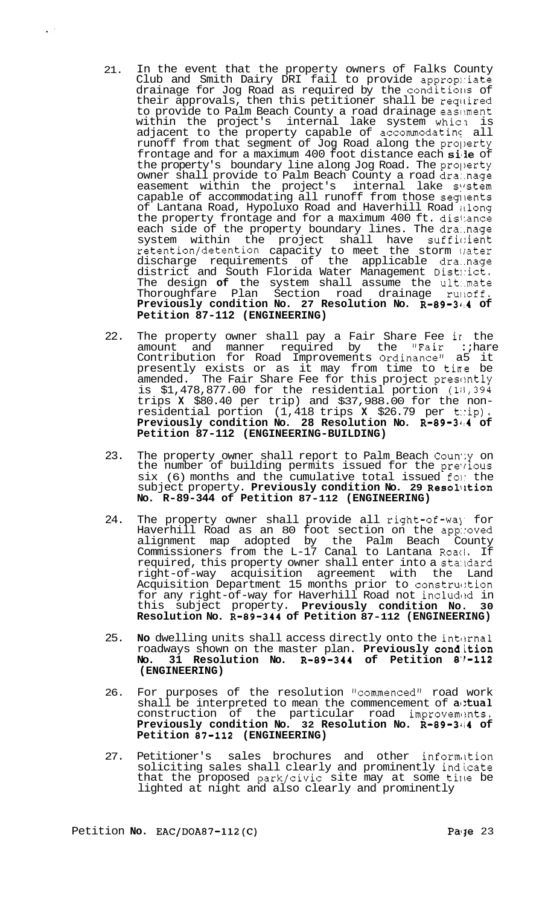- 21. In the event that the property owners of Falks County Club and Smith Dairy DRI fail to provide appropliate drainage for Jog Road as required  $b$ y the conditions of their approvals, then this petitioner shall be required to provide to Palm Beach County a road drainage easement within the project's internal lake system which is adjacent to the property capable of accommodating all runoff from that segment of Jog Road along the pro])erty frontage and for a maximum 400 foot distance each sile of the property's boundary line along Jog Road. The property owner shall provide to Palm Beach County a road dra:.nage easement within the project's internal lake system capable of accommodating all runoff from those segments of Lantana Road, Hypoluxo Road and Haverhill Road itlong the property frontage and for a maximum 400 ft. dis1:ance each side of the property boundary lines. The dra:.nage system within the project shall have sufficient retention/detention capacity to meet the storm lrater discharge requirements of the applicable dra..nage district and South Florida Water Management Dist!:ict. The design **of** the system shall assume the ult..mate Thoroughfare Plan Section road drainage rulloff. Previously condition No. 27 Resolution No. R-89-344 of **Petition 87-112 (ENGINEERING)**
- 22. The property owner shall pay a Fair Share Fee ir the amount and manner required by the "Fair :;hare Contribution for Road Improvements Ordinance" a5 it presently exists or as it may from time to tine be amended. The Fair Share Fee for this project presently is  $$1,478,877.00$  for the residential portion  $(18,394)$ trips **X** \$80.40 per trip) and \$37,988.00 for the non- residential portion (1,418 trips **X** \$26.79 per t::ip). Previously condition No. 28 Resolution No. R-89-344 of **Petition 87-112 (ENGINEERING-BUILDING)**
- 23. The property owner shall report to Palm Beach Coun'ly on the number of building permits issued for the pre-rious  $six$  (6) months and the cumulative total issued fon the subject property. Previously condition No. 29 Resolution **No. R-89-344 of Petition 87-112 (ENGINEERING)**
- 24. The property owner shall provide all right-of-way for Haverhill Road as an 80 foot section on the app::oved alignment map adopted by the Palm Beach County Commissioners from the L-17 Canal to Lantana Roaci. If required, this property owner shall enter into a standard right-of-way acquisition agreement with the Land Acquisition Department 15 months prior to construction for any right-of-way for Haverhill Road not included in this subject property. **Previously condition No. 30 Resolution No. R-89-344 of Petition 87-112 (ENGINEERING)**
- 25. **No** dwelling units shall access directly onto the inturnal roadways shown on the master plan. **Previously cond.ition No. 31 Resolution No. R-89-344 of Petition 8'1-112 (ENGINEERING)**
- 26. For purposes of the resolution "commenced" road work shall be interpreted to mean the commencement of  $a$ :tual construction of the particular road improvements. **Previously condition No. 32 Resolution No. R-89-3414 of Petition 87-112 (ENGINEERING)**
- 27. Petitioner's sales brochures and other information soliciting sales shall clearly and prominently indicate that the proposed park/civic site may at some time be lighted at night and also clearly and prominently

 $\mathcal{L}^{(1)}$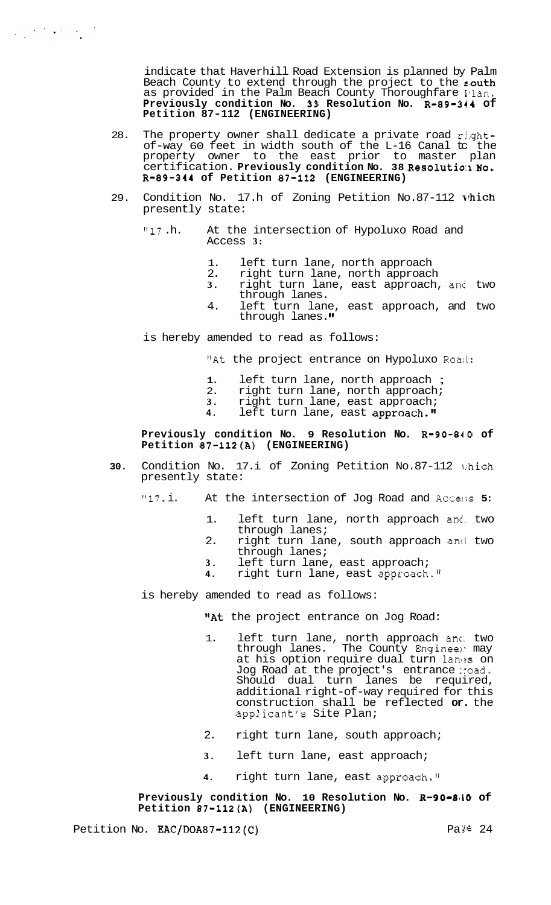indicate that Haverhill Road Extension is planned by Palm Beach County to extend through the project to the south as provided in the Palm Beach County Thoroughfare Ilan. Previously condition No. 33 Resolution No. R-89-344 of **Petition 87-112 (ENGINEERING)** 

- 28. The property owner shall dedicate a private road rj.ghtof-way 60 feet in width south of the L-16 Canal tc the property owner to the east prior to master plan certification. **Previously condition NO. 38 Reso1utio:I NO. R-89-344 of Petition 87-112 (ENGINEERING)**
- 29. Condition No. 17.h of Zoning Petition No.87-112 vhich presently state:
	- "17 .h. At the intersection of Hypoluxo Road and Access **3:** 
		- 1. left turn lane, north approach<br>2. right turn lane, north approach
		- 2. right turn lane, north approach<br>3. right turn lane, east approach
		- **3.** right turn lane, east approach, anc two through lanes.
		- 4. left turn lane, east approach, and two through lanes.
	- is hereby amended to read as follows:

 $\label{eq:1} \frac{1}{2}\sum_{i=1}^n\frac{1}{2}\sum_{i=1}^n\frac{1}{2}\sum_{i=1}^n\frac{1}{2}\sum_{i=1}^n\frac{1}{2}\sum_{i=1}^n\frac{1}{2}\sum_{i=1}^n\frac{1}{2}\sum_{i=1}^n\frac{1}{2}\sum_{i=1}^n\frac{1}{2}\sum_{i=1}^n\frac{1}{2}\sum_{i=1}^n\frac{1}{2}\sum_{i=1}^n\frac{1}{2}\sum_{i=1}^n\frac{1}{2}\sum_{i=1}^n\frac{1}{2}\sum_{i=1}^n\frac{$ 

"At the project entrance on Hypoluxo Road:

- **1.** left turn lane, north approach ;
- 2. right turn lane, north approach;
- **3.** right turn lane, east approach;
- 4. left turn lane, east approach."

# **Previously condition No. 9 Resolution No. R-90-840 of Petition 87-112(A) (ENGINEERING)**

- **30.** Condition No. 17.i of Zoning Petition No.87-112 irhich presently state:
	- "17. i. At the intersection of Jog Road and Accer;s **5:** 
		- 1. left turn lane, north approach and two through lanes;
		- 2. right turn lane, south approach and two through lanes;
		-
		- **3.** left turn lane, east approach; **4.** right turn lane, east approach."

is hereby amended to read as follows:

"At the project entrance on Jog Road:

- 1. left turn lane, north approach anc, two through lanes. The County Engineel: may at his option require dual turn lanes on Jog Road at the project's entrance :road. Should dual turn lanes be required, additional right-of-way required for this construction shall be reflected **or.** the applicant's Site Plan;
- 2. right turn lane, south approach;
- **3.** left turn lane, east approach;
- **4.** right turn lane, east approach."

## Previously condition No. 10 Resolution No. **R-90-840** of **Petition 87=112(A) (ENGINEERING)**

Petition No.  $\text{EAC}/\text{DOA87-112(C)}$  Pa ye 24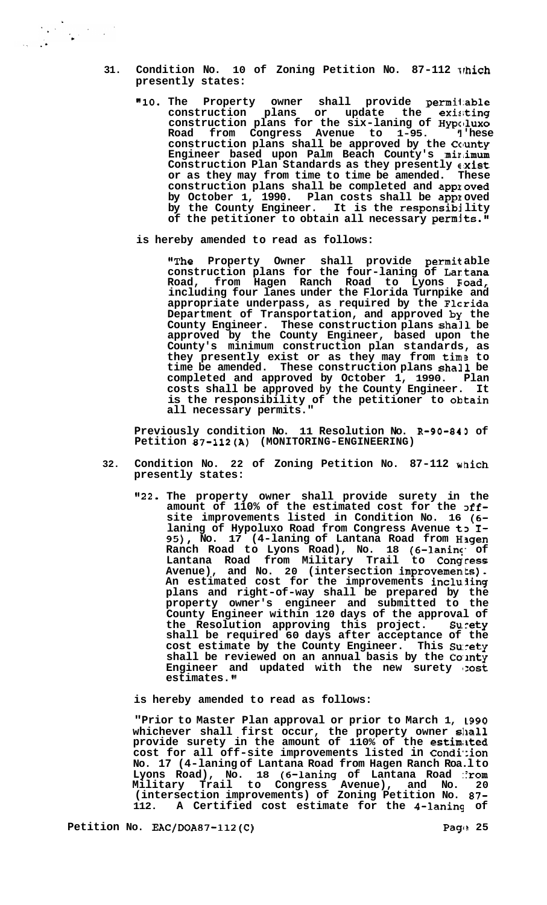- 31. Condition No. 10 of Zoning Petition No. 87-112 which **presently states:** 
	- **vllO. The Property owner shall provide permil:able construction plans or update the exi:!ting construction plans for the six-laning of Hypclluxo**  Road from Congress Avenue to 1-95. <sup>I</sup> hese **construction plans shall be approved by the Cclunty**  Engineer based upon Palm Beach County's minimum Construction Plan Standards as they presently  $\epsilon$ xist **or as they may from time to time be amended. These construction plans shall be completed and applroved by October 1, 1990. Plan costs shall be appx oved by the County Engineer. It is the responsibj lity**  of the petitioner to obtain all necessary permits."
	- **is hereby amended to read as follows:**

**"The Property Owner shall provide permil: able construction plans for the four-laning of Lartana Road, from Hagen Ranch Road to Lyons Eioad, including four lanes under the Florida Turnpike and appropriate underpass, as required by the Flcrida Department of Transportation, and approved by the County Engineer. These construction plans shall be approved by the County Engineer, based upon the County's minimum construction plan standards, as they presently exist or as they may from tima to time be amended. These construction plans shall be completed and approved by October 1, 1990. Plan costs shall be approved by the County Engineer. It is the responsibility of the petitioner to ohtain all necessary permits."** 

**Previously condition No. 11 Resolution No. R-90-843 of Petition 87-112(A) (MONITORING-ENGINEERING)** 

- **32. Condition No. 22 of Zoning Petition No. 87-112 which presently states:** 
	- **1'22. The property owner shall provide surety in the**  amount of 110% of the estimated cost for the off**site improvements listed in Condition No. 16 (6**  laning of Hypoluxo Road from Congress Avenue to I-**95), No. 17 (4-laning of Lantana Road from H[fgen Ranch Road to Lyons Road), No. 18 (6-laninc;' of Lantana Road from Military Trail to Congrcess Avenue), and No. 20 (intersection improvements). An estimated cost for the improvements incluiing plans and right-of-way shall be prepared by the property owner's engineer and submitted to the County Engineer within 120 days of the approval of the Resolution approving this project. Su. rety shall be required 60 days after acceptance of the**  cost estimate by the County Engineer. This Surety shall be reviewed on an annual basis by the County Engineer and updated with the new surety : ost **estimates. '1**

**is hereby amended to read as follows:** 

**"Prior to Master Plan approval or prior to March 1, L990 whichever shall first occur, the property owner sllall provide surety in the amount of 110% of the estimiited cost for all off-site improvements listed in Condi\*:ion No. 17 (4-laning of Lantana Road from Hagen Ranch Roa.l to**  Lyons Road), No. 18 (6-laning of Lantana Road ::rom **Military Trail to Congress Avenue), and No. 20 (intersection improvements) of Zoning Petition No. 87- 112. A Certified cost estimate for the 4-laning of** 

Petition No. EAC/DOA87-112(C) **Page** 25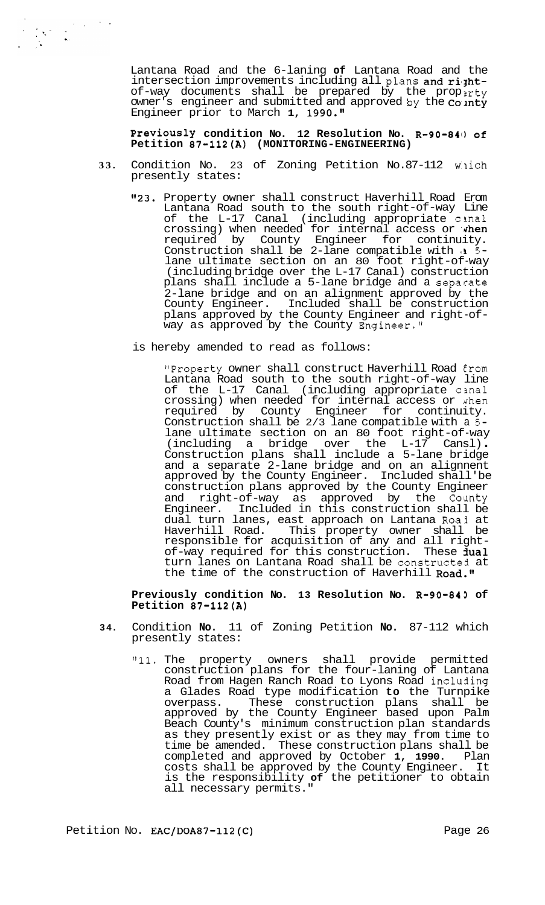Lantana Road and the 6-laning **of** Lantana Road and the intersection improvements including all plans and rightof-way documents shall be prepared by the propirty owner's engineer and submitted and approved by the  $\cos n t$ Engineer prior to March 1, 1990."

**PreViOUSly condition No. 12 Resolution NO. R-90-841) of Petition 87-112(A) (MONITORING-ENGINEERING)** 

- 33. Condition No. 23 of Zoning Petition No.87-112 which presently states:
	- "23. Property owner shall construct Haverhill Road Erom Lantana Road south to the south right-of-way Line of the L-17 Canal (including appropriate cinal crossing) when needed for internal access or when required by County Engineer for continuity. Construction shall be 2-lane compatible with a 5lane ultimate section on an 80 foot right-of-way (including bridge over the L-17 Canal) construction plans shall include a 5-lane bridge and a separate 2-lane bridge and on an alignment approved by the County Engineer. Included shall be construction Included shall be construction plans approved by the County Engineer and right-of-<br>way as approved by the County Engineer."

is hereby amended to read as follows:

"Property owner shall construct Haverhill Road Erom Lantana Road south to the south right-of-way line of the L-17 Canal (including appropriate cinal crossing) when needed for internal access or ahen required by County Engineer for continuity. Construction shall be 2/3 lane compatible with a **5**  lane ultimate section on an 80 foot right-of-way (including a bridge over the L-17 Cansl) . Construction plans shall include a 5-lane bridge and a separate 2-lane bridge and on an alignnent approved by the County Engineer. Included shall'be construction plans approved by the County Engineer and right-of-way as approved by the County<br>Engineer. Included in this construction shall be Included in this construction shall be dual turn lanes, east approach on Lantana Roai at Haverhill Road. This property owner shall be responsible for acquisition of any and all right-<br>of-way required for this construction. These **jual** turn lanes on Lantana Road shall be constructed at the time of the construction of Haverhill Road."

### **Previously condition No. 13 Resolution No. R-90-843 of Petition 87-112(A)**

- **34.** Condition **No.** 11 of Zoning Petition **No.** 87-112 which presently states:
	- **"11.** The property owners shall provide permitted construction plans for the four-laning of Lantana Road from Hagen Ranch Road to Lyons Road including a Glades Road type modification **to** the Turnpike overpass. These construction plans shall be approved by the County Engineer based upon Palm Beach County's minimum construction plan standards as they presently exist or as they may from time to time be amended. These construction plans shall be completed and approved by October **1, 1990.** Plan costs shall be approved by the County Engineer. It is the responsibility **of** the petitioner to obtain all necessary permits."

Petition No. EAC/DOA87-112(C) Petition Page 26